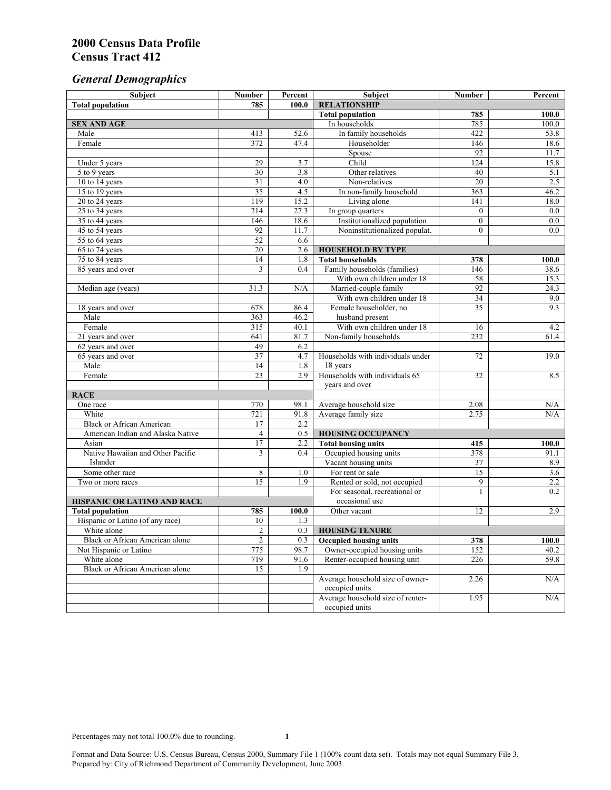# *General Demographics*

| Subject                                | <b>Number</b>   | Percent      | Subject                                             | <b>Number</b>                  | Percent    |
|----------------------------------------|-----------------|--------------|-----------------------------------------------------|--------------------------------|------------|
| <b>Total population</b>                | 785             | 100.0        | <b>RELATIONSHIP</b>                                 |                                |            |
|                                        |                 |              | <b>Total population</b>                             | 785                            | 100.0      |
| <b>SEX AND AGE</b>                     |                 |              | In households                                       | 785                            | 100.0      |
| Male                                   | 413             | 52.6         | In family households                                | 422                            | 53.8       |
| Female                                 | 372             | 47.4         | Householder                                         | 146                            | 18.6       |
|                                        |                 |              | Spouse                                              | 92                             | 11.7       |
| Under 5 years                          | 29              | 3.7          | Child                                               | 124                            | 15.8       |
| 5 to 9 years                           | 30              | 3.8          | Other relatives                                     | 40                             | 5.1        |
| 10 to 14 years                         | $\overline{31}$ | 4.0          | Non-relatives                                       | 20                             | 2.5        |
| 15 to 19 years                         | $\overline{35}$ | 4.5          | In non-family household                             | 363                            | 46.2       |
| 20 to 24 years                         | 119             | 15.2         | Living alone                                        | 141                            | 18.0       |
| $25$ to 34 years                       | 214             | 27.3         | In group quarters                                   | $\overline{0}$                 | 0.0        |
| 35 to 44 years                         | 146<br>92       | 18.6<br>11.7 | Institutionalized population                        | $\mathbf{0}$<br>$\overline{0}$ | 0.0<br>0.0 |
| 45 to 54 years<br>55 to 64 years       | 52              | 6.6          | Noninstitutionalized populat.                       |                                |            |
| 65 to 74 years                         | 20              | 2.6          |                                                     |                                |            |
| 75 to 84 years                         | 14              | 1.8          | <b>HOUSEHOLD BY TYPE</b><br><b>Total households</b> | 378                            | 100.0      |
| 85 years and over                      | 3               | 0.4          | Family households (families)                        | 146                            | 38.6       |
|                                        |                 |              | With own children under 18                          | 58                             | 15.3       |
| Median age (years)                     | 31.3            | N/A          | Married-couple family                               | 92                             | 24.3       |
|                                        |                 |              | With own children under 18                          | $\overline{34}$                | 9.0        |
| 18 years and over                      | 678             | 86.4         | Female householder, no                              | 35                             | 9.3        |
| Male                                   | 363             | 46.2         | husband present                                     |                                |            |
| Female                                 | 315             | 40.1         | With own children under 18                          | 16                             | 4.2        |
| 21 years and over                      | 641             | 81.7         | Non-family households                               | 232                            | 61.4       |
| 62 years and over                      | 49              | 6.2          |                                                     |                                |            |
| 65 years and over                      | 37              | 4.7          | Households with individuals under                   | 72                             | 19.0       |
| Male                                   | 14              | 1.8          | 18 years                                            |                                |            |
| Female                                 | $\overline{23}$ | 2.9          | Households with individuals 65                      | 32                             | 8.5        |
|                                        |                 |              | years and over                                      |                                |            |
| <b>RACE</b>                            |                 |              |                                                     |                                |            |
| One race                               | 770             | 98.1         | Average household size                              | 2.08                           | N/A        |
| White                                  | 721             | 91.8         | Average family size                                 | 2.75                           | N/A        |
| <b>Black or African American</b>       | 17              | 2.2          |                                                     |                                |            |
| American Indian and Alaska Native      | $\overline{4}$  | 0.5          | <b>HOUSING OCCUPANCY</b>                            |                                |            |
| Asian                                  | 17              | 2.2          | <b>Total housing units</b>                          | 415                            | 100.0      |
| Native Hawaiian and Other Pacific      | 3               | 0.4          | Occupied housing units                              | 378                            | 91.1       |
| Islander                               |                 |              | Vacant housing units                                | 37                             | 8.9        |
| Some other race                        | 8               | 1.0          | For rent or sale                                    | $\overline{15}$                | 3.6        |
| Two or more races                      | $\overline{15}$ | 1.9          | Rented or sold, not occupied                        | 9                              | 2.2        |
|                                        |                 |              | For seasonal, recreational or                       | 1                              | 0.2        |
| HISPANIC OR LATINO AND RACE            |                 |              | occasional use                                      |                                |            |
| <b>Total population</b>                | 785             | 100.0        | Other vacant                                        | 12                             | 2.9        |
| Hispanic or Latino (of any race)       | 10              | 1.3          |                                                     |                                |            |
| White alone                            | $\overline{c}$  | 0.3          | <b>HOUSING TENURE</b>                               |                                |            |
| Black or African American alone        | $\overline{c}$  | 0.3          | <b>Occupied housing units</b>                       | 378                            | 100.0      |
| Not Hispanic or Latino                 | 775             | 98.7         | Owner-occupied housing units                        | 152                            | 40.2       |
| White alone                            | 719             | 91.6         | Renter-occupied housing unit                        | 226                            | 59.8       |
| <b>Black or African American alone</b> | 15              | 1.9          |                                                     |                                |            |
|                                        |                 |              | Average household size of owner-                    | 2.26                           | N/A        |
|                                        |                 |              | occupied units                                      |                                |            |
|                                        |                 |              | Average household size of renter-                   | 1.95                           | N/A        |
|                                        |                 |              | occupied units                                      |                                |            |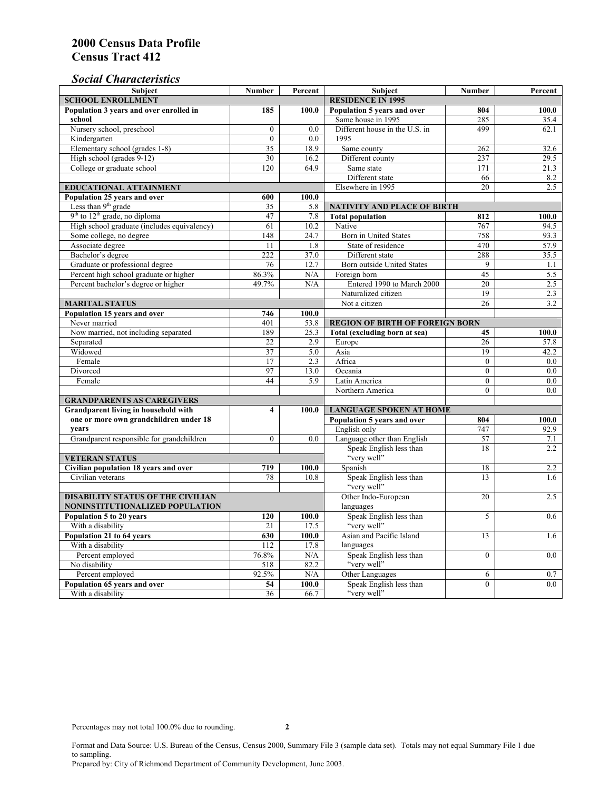### *Social Characteristics*

| Subject                                     | <b>Number</b>           | Percent                  | <b>Subject</b>                         | <b>Number</b>   | Percent |
|---------------------------------------------|-------------------------|--------------------------|----------------------------------------|-----------------|---------|
| <b>SCHOOL ENROLLMENT</b>                    |                         | <b>RESIDENCE IN 1995</b> |                                        |                 |         |
| Population 3 years and over enrolled in     | 185                     | 100.0                    | Population 5 years and over            | 804             | 100.0   |
| school                                      |                         |                          | Same house in 1995                     | 285             | 35.4    |
| Nursery school, preschool                   | $\mathbf{0}$            | 0.0                      | Different house in the U.S. in         | 499             | 62.1    |
| Kindergarten                                | $\boldsymbol{0}$        | 0.0                      | 1995                                   |                 |         |
| Elementary school (grades 1-8)              | 35                      | 18.9                     | Same county                            | 262             | 32.6    |
| High school (grades 9-12)                   | 30                      | 16.2                     | Different county                       | 237             | 29.5    |
| College or graduate school                  | 120                     | 64.9                     | Same state                             | 171             | 21.3    |
|                                             |                         |                          | Different state                        | 66              | 8.2     |
| <b>EDUCATIONAL ATTAINMENT</b>               |                         |                          | Elsewhere in 1995                      | 20              | 2.5     |
| Population 25 years and over                | 600                     | 100.0                    |                                        |                 |         |
| Less than 9 <sup>th</sup> grade             | 35                      | 5.8                      | NATIVITY AND PLACE OF BIRTH            |                 |         |
| $9th$ to $12th$ grade, no diploma           | 47                      | 7.8                      | <b>Total population</b>                | 812             | 100.0   |
| High school graduate (includes equivalency) | 61                      | 10.2                     | Native                                 | 767             | 94.5    |
| Some college, no degree                     | 148                     | 24.7                     | Born in United States                  | 758             | 93.3    |
| Associate degree                            | 11                      | 1.8                      | State of residence                     | 470             | 57.9    |
| Bachelor's degree                           | 222                     | 37.0                     | Different state                        | 288             | 35.5    |
| Graduate or professional degree             | 76                      | 12.7                     | <b>Born outside United States</b>      | 9               | 1.1     |
| Percent high school graduate or higher      | 86.3%                   | N/A                      | Foreign born                           | $\overline{45}$ | 5.5     |
| Percent bachelor's degree or higher         | 49.7%                   | N/A                      | Entered 1990 to March 2000             | 20              | 2.5     |
|                                             |                         |                          | Naturalized citizen                    | 19              | 2.3     |
| <b>MARITAL STATUS</b>                       |                         |                          | Not a citizen                          | 26              | 3.2     |
| Population 15 years and over                | 746                     | 100.0                    |                                        |                 |         |
| Never married                               | 401                     | 53.8                     | <b>REGION OF BIRTH OF FOREIGN BORN</b> |                 |         |
| Now married, not including separated        | 189                     | 25.3                     | Total (excluding born at sea)          | 45              | 100.0   |
| Separated                                   | 22                      | 2.9                      | Europe                                 | 26              | 57.8    |
| Widowed                                     | 37                      | 5.0                      | Asia                                   | 19              | 42.2    |
| Female                                      | 17                      | 2.3                      | Africa                                 | $\mathbf{0}$    | $0.0\,$ |
| Divorced                                    | 97                      | 13.0                     | Oceania                                | $\mathbf{0}$    | 0.0     |
| Female                                      | 44                      | 5.9                      | Latin America                          | $\mathbf{0}$    | 0.0     |
|                                             |                         |                          | Northern America                       | $\theta$        | 0.0     |
| <b>GRANDPARENTS AS CAREGIVERS</b>           |                         |                          |                                        |                 |         |
| Grandparent living in household with        | $\overline{\mathbf{4}}$ | 100.0                    | <b>LANGUAGE SPOKEN AT HOME</b>         |                 |         |
| one or more own grandchildren under 18      |                         |                          | Population 5 years and over            | 804             | 100.0   |
| years                                       |                         |                          | English only                           | 747             | 92.9    |
| Grandparent responsible for grandchildren   | $\overline{0}$          | 0.0                      | Language other than English            | 57              | 7.1     |
|                                             |                         |                          | Speak English less than                | 18              | 2.2     |
| <b>VETERAN STATUS</b>                       |                         |                          | "very well"                            |                 |         |
| Civilian population 18 years and over       | 719                     | 100.0                    | Spanish                                | 18              | 2.2     |
| Civilian veterans                           | 78                      | 10.8                     | Speak English less than                | 13              | 1.6     |
|                                             |                         |                          | "very well"                            |                 |         |
| <b>DISABILITY STATUS OF THE CIVILIAN</b>    |                         | Other Indo-European      | 20                                     | 2.5             |         |
| NONINSTITUTIONALIZED POPULATION             |                         | languages                |                                        |                 |         |
| Population 5 to 20 years                    | 120                     | 100.0                    | Speak English less than                | 5               | 0.6     |
| With a disability                           | 21                      | 17.5                     | "very well"                            |                 |         |
| Population 21 to 64 years                   | 630                     | 100.0                    | Asian and Pacific Island               | 13              | 1.6     |
| With a disability                           | 112                     | 17.8                     | languages                              |                 |         |
| Percent employed                            | 76.8%                   | N/A                      | Speak English less than                | $\mathbf{0}$    | 0.0     |
| No disability                               | 518                     | 82.2                     | "very well"                            |                 |         |
| Percent employed                            | 92.5%                   | N/A                      | Other Languages                        | 6               | 0.7     |
| Population 65 years and over                | 54                      | 100.0                    | Speak English less than                | $\mathbf{0}$    | 0.0     |
| With a disability                           | 36                      | 66.7                     | "very well"                            |                 |         |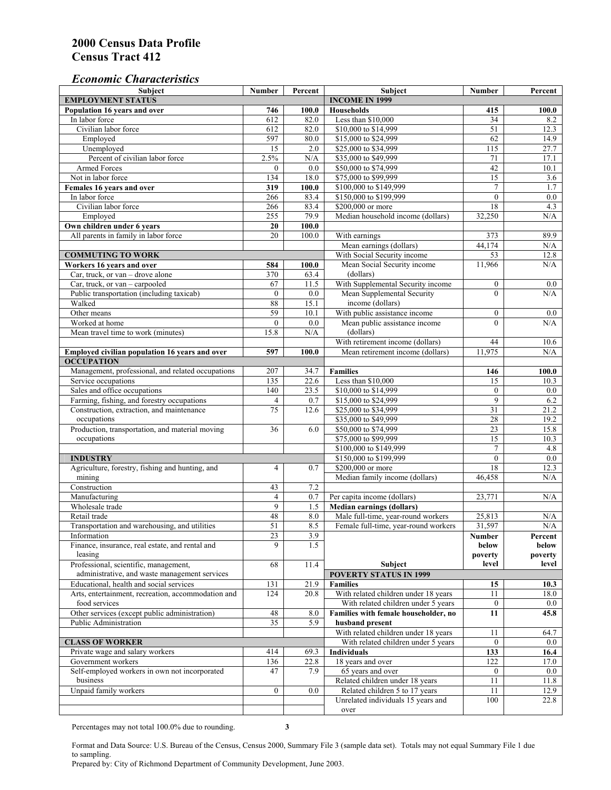#### *Economic Characteristics*

| Subject                                                                                | <b>Number</b>   | Percent          | Subject                                                                    | <b>Number</b>    | Percent          |
|----------------------------------------------------------------------------------------|-----------------|------------------|----------------------------------------------------------------------------|------------------|------------------|
| <b>EMPLOYMENT STATUS</b>                                                               |                 |                  | <b>INCOME IN 1999</b>                                                      |                  |                  |
| Population 16 years and over                                                           | 746             | 100.0            | <b>Households</b>                                                          | 415              | 100.0            |
| In labor force                                                                         | 612             | 82.0             | Less than \$10,000                                                         | 34               | 8.2              |
| Civilian labor force                                                                   | 612             | 82.0             | \$10,000 to \$14,999                                                       | 51               | 12.3             |
| Employed                                                                               | 597             | 80.0             | \$15,000 to \$24,999                                                       | 62               | 14.9             |
| Unemployed                                                                             | $\overline{15}$ | $\overline{2.0}$ | \$25,000 to \$34,999                                                       | 115              | 27.7             |
| Percent of civilian labor force                                                        | 2.5%            | N/A              | \$35,000 to \$49,999                                                       | 71               | 17.1             |
| <b>Armed Forces</b>                                                                    | $\mathbf{0}$    | 0.0              | \$50,000 to \$74,999                                                       | 42               | 10.1             |
| Not in labor force                                                                     | 134             | 18.0             | \$75,000 to \$99,999                                                       | 15               | 3.6              |
| Females 16 years and over                                                              | 319             | 100.0            | \$100,000 to \$149,999                                                     | $\tau$           | 1.7              |
| In labor force                                                                         | 266             | 83.4             | \$150,000 to \$199,999                                                     | $\mathbf{0}$     | 0.0              |
| Civilian labor force                                                                   | 266             | 83.4             | \$200,000 or more                                                          | 18               | 4.3              |
| Employed                                                                               | 255             | 79.9             | Median household income (dollars)                                          | 32,250           | N/A              |
| Own children under 6 years                                                             | 20              | 100.0            |                                                                            |                  |                  |
| All parents in family in labor force                                                   | 20              | 100.0            | With earnings                                                              | 373              | 89.9             |
|                                                                                        |                 |                  | Mean earnings (dollars)                                                    | 44,174           | N/A              |
| <b>COMMUTING TO WORK</b>                                                               |                 |                  | With Social Security income                                                | 53               | 12.8             |
| Workers 16 years and over                                                              | 584             | 100.0            | Mean Social Security income                                                | 11,966           | N/A              |
| Car, truck, or van - drove alone                                                       | 370             | 63.4             | (dollars)                                                                  |                  |                  |
| Car, truck, or van - carpooled                                                         | 67              | 11.5             | With Supplemental Security income                                          | $\boldsymbol{0}$ | $0.0\,$          |
| Public transportation (including taxicab)                                              | $\mathbf{0}$    | 0.0              | Mean Supplemental Security                                                 | $\theta$         | N/A              |
| Walked                                                                                 | 88              | 15.1             | income (dollars)                                                           |                  |                  |
| Other means                                                                            | 59              | 10.1             | With public assistance income                                              | $\boldsymbol{0}$ | $0.0\,$          |
| Worked at home                                                                         | $\mathbf{0}$    | 0.0              | Mean public assistance income                                              | $\theta$         | N/A              |
| Mean travel time to work (minutes)                                                     | 15.8            | N/A              | (dollars)                                                                  |                  |                  |
|                                                                                        |                 |                  | With retirement income (dollars)                                           | 44               | 10.6             |
| Employed civilian population 16 years and over                                         | 597             | 100.0            | Mean retirement income (dollars)                                           | 11.975           | N/A              |
| <b>OCCUPATION</b>                                                                      |                 |                  |                                                                            |                  |                  |
| Management, professional, and related occupations                                      | 207             | 34.7             | <b>Families</b>                                                            | 146              | 100.0            |
| Service occupations                                                                    | 135             | 22.6             | Less than \$10,000                                                         | 15               | 10.3             |
| Sales and office occupations                                                           | 140             | 23.5             | \$10,000 to \$14,999                                                       | $\boldsymbol{0}$ | 0.0              |
| Farming, fishing, and forestry occupations                                             | $\overline{4}$  | 0.7              | \$15,000 to \$24,999                                                       | 9                | 6.2              |
| Construction, extraction, and maintenance                                              | 75              | 12.6             | \$25,000 to \$34,999                                                       | 31               | 21.2             |
| occupations                                                                            |                 |                  | \$35,000 to \$49,999                                                       | 28               | 19.2             |
| Production, transportation, and material moving                                        | 36              | 6.0              | \$50,000 to \$74,999                                                       | 23               | 15.8             |
| occupations                                                                            |                 |                  | \$75,000 to \$99,999                                                       | 15               | 10.3             |
|                                                                                        |                 |                  | \$100,000 to \$149,999                                                     | $\overline{7}$   | 4.8              |
| <b>INDUSTRY</b>                                                                        |                 |                  | \$150,000 to \$199,999                                                     | $\mathbf{0}$     | $0.0\,$          |
| Agriculture, forestry, fishing and hunting, and                                        | $\overline{4}$  | 0.7              | \$200,000 or more                                                          | 18               | 12.3             |
| mining                                                                                 |                 |                  | Median family income (dollars)                                             | 46,458           | N/A              |
| Construction                                                                           | 43              | 7.2              |                                                                            |                  |                  |
| Manufacturing                                                                          | $\overline{4}$  | 0.7              | Per capita income (dollars)                                                | 23,771           | N/A              |
| Wholesale trade                                                                        | 9               |                  |                                                                            |                  |                  |
| Retail trade                                                                           | 48              | 1.5<br>8.0       | <b>Median earnings (dollars)</b>                                           | 25,813           |                  |
| Transportation and warehousing, and utilities                                          | 51              | 8.5              | Male full-time, year-round workers<br>Female full-time, year-round workers | 31,597           | N/A<br>$\rm N/A$ |
|                                                                                        |                 |                  |                                                                            |                  |                  |
| Information                                                                            | 23<br>9         | 3.9<br>1.5       |                                                                            | Number           | Percent          |
| Finance, insurance, real estate, and rental and                                        |                 |                  |                                                                            | below            | below            |
| leasing                                                                                |                 |                  |                                                                            | poverty          | poverty          |
| Professional, scientific, management,<br>administrative, and waste management services | 68              | 11.4             | Subject                                                                    | level            | level            |
|                                                                                        |                 |                  | <b>POVERTY STATUS IN 1999</b>                                              |                  |                  |
| Educational, health and social services                                                | 131             | 21.9             | <b>Families</b>                                                            | 15               | 10.3             |
| Arts, entertainment, recreation, accommodation and                                     | 124             | 20.8             | With related children under 18 years                                       | 11               | 18.0             |
| food services                                                                          |                 |                  | With related children under 5 years                                        | $\mathbf{0}$     | $0.0\,$          |
| Other services (except public administration)                                          | 48              | 8.0              | Families with female householder, no                                       | 11               | 45.8             |
| Public Administration                                                                  | 35              | 5.9              | husband present                                                            |                  |                  |
|                                                                                        |                 |                  | With related children under 18 years                                       | 11               | 64.7             |
| <b>CLASS OF WORKER</b>                                                                 |                 |                  | With related children under 5 years                                        | $\overline{0}$   | $0.0\,$          |
| Private wage and salary workers                                                        | 414             | 69.3             | <b>Individuals</b>                                                         | 133              | 16.4             |
| Government workers                                                                     | 136             | 22.8             | 18 years and over                                                          | 122              | 17.0             |
| Self-employed workers in own not incorporated                                          | 47              | 7.9              | 65 years and over                                                          | $\boldsymbol{0}$ | 0.0              |
| business                                                                               |                 |                  | Related children under 18 years                                            | 11               | 11.8             |
| Unpaid family workers                                                                  | $\overline{0}$  | 0.0              | Related children 5 to 17 years                                             | 11               | 12.9             |
|                                                                                        |                 |                  | Unrelated individuals 15 years and                                         | 100              | 22.8             |
|                                                                                        |                 |                  | over                                                                       |                  |                  |

Percentages may not total 100.0% due to rounding. **3** 

Format and Data Source: U.S. Bureau of the Census, Census 2000, Summary File 3 (sample data set). Totals may not equal Summary File 1 due to sampling.

Prepared by: City of Richmond Department of Community Development, June 2003.